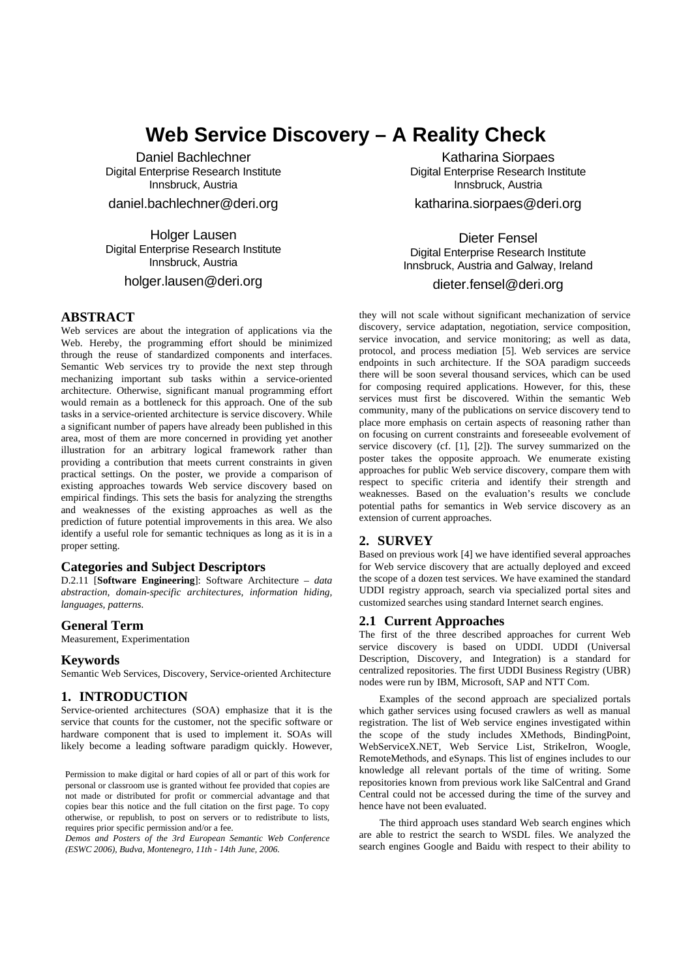# **Web Service Discovery – A Reality Check**

Daniel Bachlechner Digital Enterprise Research Institute Innsbruck, Austria daniel.bachlechner@deri.org

Holger Lausen Digital Enterprise Research Institute

Innsbruck, Austria

holger.lausen@deri.org

## **ABSTRACT**

Web services are about the integration of applications via the Web. Hereby, the programming effort should be minimized through the reuse of standardized components and interfaces. Semantic Web services try to provide the next step through mechanizing important sub tasks within a service-oriented architecture. Otherwise, significant manual programming effort would remain as a bottleneck for this approach. One of the sub tasks in a service-oriented architecture is service discovery. While a significant number of papers have already been published in this area, most of them are more concerned in providing yet another illustration for an arbitrary logical framework rather than providing a contribution that meets current constraints in given practical settings. On the poster, we provide a comparison of existing approaches towards Web service discovery based on empirical findings. This sets the basis for analyzing the strengths and weaknesses of the existing approaches as well as the prediction of future potential improvements in this area. We also identify a useful role for semantic techniques as long as it is in a proper setting.

## **Categories and Subject Descriptors**

D.2.11 [**Software Engineering**]: Software Architecture – *data abstraction, domain-specific architectures, information hiding, languages, patterns.* 

#### **General Term**

Measurement, Experimentation

#### **Keywords**

Semantic Web Services, Discovery, Service-oriented Architecture

## **1. INTRODUCTION**

Service-oriented architectures (SOA) emphasize that it is the service that counts for the customer, not the specific software or hardware component that is used to implement it. SOAs will likely become a leading software paradigm quickly. However,

Permission to make digital or hard copies of all or part of this work for personal or classroom use is granted without fee provided that copies are not made or distributed for profit or commercial advantage and that copies bear this notice and the full citation on the first page. To copy otherwise, or republish, to post on servers or to redistribute to lists, requires prior specific permission and/or a fee.

*Demos and Posters of the 3rd European Semantic Web Conference (ESWC 2006), Budva, Montenegro, 11th - 14th June, 2006.*

Katharina Siorpaes Digital Enterprise Research Institute Innsbruck, Austria

katharina.siorpaes@deri.org

Dieter Fensel Digital Enterprise Research Institute Innsbruck, Austria and Galway, Ireland

# dieter.fensel@deri.org

they will not scale without significant mechanization of service discovery, service adaptation, negotiation, service composition, service invocation, and service monitoring; as well as data, protocol, and process mediation [5]. Web services are service endpoints in such architecture. If the SOA paradigm succeeds there will be soon several thousand services, which can be used for composing required applications. However, for this, these services must first be discovered. Within the semantic Web community, many of the publications on service discovery tend to place more emphasis on certain aspects of reasoning rather than on focusing on current constraints and foreseeable evolvement of service discovery (cf. [1], [2]). The survey summarized on the poster takes the opposite approach. We enumerate existing approaches for public Web service discovery, compare them with respect to specific criteria and identify their strength and weaknesses. Based on the evaluation's results we conclude potential paths for semantics in Web service discovery as an extension of current approaches.

## **2. SURVEY**

Based on previous work [4] we have identified several approaches for Web service discovery that are actually deployed and exceed the scope of a dozen test services. We have examined the standard UDDI registry approach, search via specialized portal sites and customized searches using standard Internet search engines.

#### **2.1 Current Approaches**

The first of the three described approaches for current Web service discovery is based on UDDI. UDDI (Universal Description, Discovery, and Integration) is a standard for centralized repositories. The first UDDI Business Registry (UBR) nodes were run by IBM, Microsoft, SAP and NTT Com.

Examples of the second approach are specialized portals which gather services using focused crawlers as well as manual registration. The list of Web service engines investigated within the scope of the study includes XMethods, BindingPoint, WebServiceX.NET, Web Service List, StrikeIron, Woogle, RemoteMethods, and eSynaps. This list of engines includes to our knowledge all relevant portals of the time of writing. Some repositories known from previous work like SalCentral and Grand Central could not be accessed during the time of the survey and hence have not been evaluated.

The third approach uses standard Web search engines which are able to restrict the search to WSDL files. We analyzed the search engines Google and Baidu with respect to their ability to